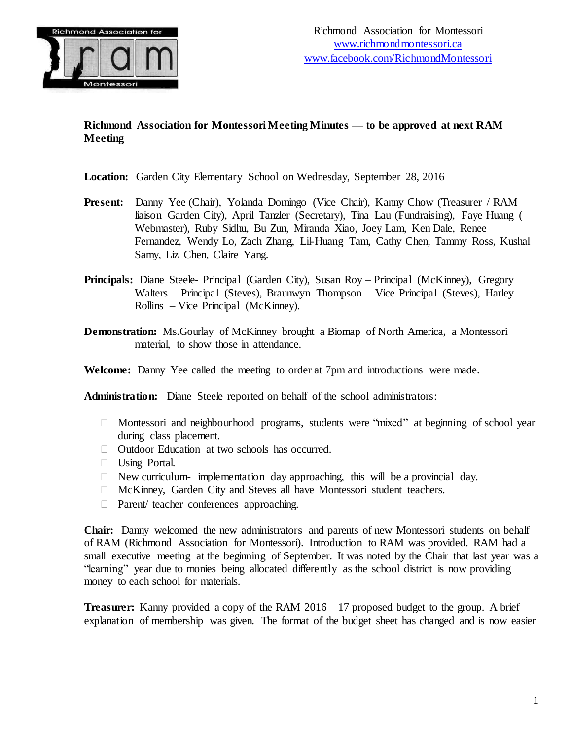

# **Richmond Association for Montessori Meeting Minutes — to be approved at next RAM Meeting**

**Location:** Garden City Elementary School on Wednesday, September 28, 2016

- **Present:** Danny Yee (Chair), Yolanda Domingo (Vice Chair), Kanny Chow (Treasurer / RAM liaison Garden City), April Tanzler (Secretary), Tina Lau (Fundraising), Faye Huang ( Webmaster), Ruby Sidhu, Bu Zun, Miranda Xiao, Joey Lam, Ken Dale, Renee Fernandez, Wendy Lo, Zach Zhang, Lil-Huang Tam, Cathy Chen, Tammy Ross, Kushal Samy, Liz Chen, Claire Yang.
- **Principals:** Diane Steele- Principal (Garden City), Susan Roy Principal (McKinney), Gregory Walters – Principal (Steves), Braunwyn Thompson – Vice Principal (Steves), Harley Rollins – Vice Principal (McKinney).
- **Demonstration:** Ms.Gourlay of McKinney brought a Biomap of North America, a Montessori material, to show those in attendance.

**Welcome:** Danny Yee called the meeting to order at 7pm and introductions were made.

**Administration:** Diane Steele reported on behalf of the school administrators:

- Montessori and neighbourhood programs, students were "mixed" at beginning of school year during class placement.
- Outdoor Education at two schools has occurred.
- Using Portal.
- $\Box$  New curriculum- implementation day approaching, this will be a provincial day.
- McKinney, Garden City and Steves all have Montessori student teachers.
- □ Parent/ teacher conferences approaching.

**Chair:** Danny welcomed the new administrators and parents of new Montessori students on behalf of RAM (Richmond Association for Montessori). Introduction to RAM was provided. RAM had a small executive meeting at the beginning of September. It was noted by the Chair that last year was a "learning" year due to monies being allocated differently as the school district is now providing money to each school for materials.

**Treasurer:** Kanny provided a copy of the RAM 2016 – 17 proposed budget to the group. A brief explanation of membership was given. The format of the budget sheet has changed and is now easier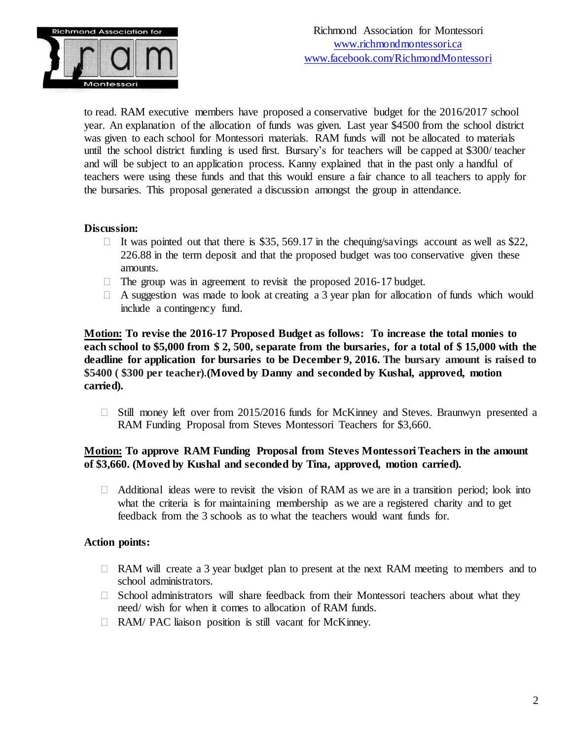

to read. RAM executive members have proposed a conservative budget for the 2016/2017 school year. An explanation of the allocation of funds was given. Last year \$4500 from the school district was given to each school for Montessori materials. RAM funds will not be allocated to materials until the school district funding is used first. Bursary's for teachers will be capped at \$300/ teacher and will be subject to an application process. Kanny explained that in the past only a handful of teachers were using these funds and that this would ensure a fair chance to all teachers to apply for the bursaries. This proposal generated a discussion amongst the group in attendance.

### **Discussion:**

- It was pointed out that there is \$35, 569.17 in the chequing/savings account as well as \$22, 226.88 in the term deposit and that the proposed budget was too conservative given these amounts.
- $\Box$  The group was in agreement to revisit the proposed 2016-17 budget.
- $\Box$  A suggestion was made to look at creating a 3 year plan for allocation of funds which would include a contingency fund.

**Motion: To revise the 2016-17 Proposed Budget as follows: To increase the total monies to** each school to \$5,000 from \$2,500, separate from the bursaries, for a total of \$15,000 with the **deadline for application for bursaries to be December 9, 2016. The bursary amount is raised to \$5400 ( \$300 per teacher).(Moved by Danny and seconded by Kushal, approved, motion carried).**

 $\Box$  Still money left over from 2015/2016 funds for McKinney and Steves. Braunwyn presented a RAM Funding Proposal from Steves Montessori Teachers for \$3,660.

## **Motion: To approve RAM Funding Proposal from Steves Montessori Teachers in the amount of \$3,660. (Moved by Kushal and seconded by Tina, approved, motion carried).**

 $\Box$  Additional ideas were to revisit the vision of RAM as we are in a transition period; look into what the criteria is for maintaining membership as we are a registered charity and to get feedback from the 3 schools as to what the teachers would want funds for.

### **Action points:**

- $\Box$  RAM will create a 3 year budget plan to present at the next RAM meeting to members and to school administrators.
- $\Box$  School administrators will share feedback from their Montessori teachers about what they need/ wish for when it comes to allocation of RAM funds.
- □ RAM/ PAC liaison position is still vacant for McKinney.